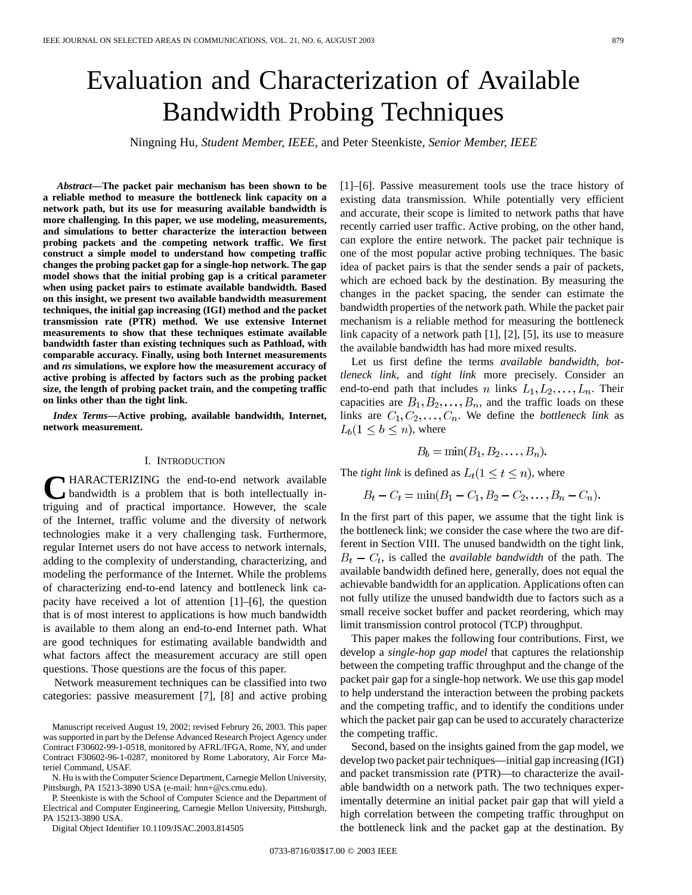# Evaluation and Characterization of Available Bandwidth Probing Techniques

Ningning Hu*, Student Member, IEEE,* and Peter Steenkiste*, Senior Member, IEEE*

*Abstract—***The packet pair mechanism has been shown to be a reliable method to measure the bottleneck link capacity on a network path, but its use for measuring available bandwidth is more challenging. In this paper, we use modeling, measurements, and simulations to better characterize the interaction between probing packets and the competing network traffic. We first construct a simple model to understand how competing traffic changes the probing packet gap for a single-hop network. The gap model shows that the initial probing gap is a critical parameter when using packet pairs to estimate available bandwidth. Based on this insight, we present two available bandwidth measurement techniques, the initial gap increasing (IGI) method and the packet transmission rate (PTR) method. We use extensive Internet measurements to show that these techniques estimate available bandwidth faster than existing techniques such as Pathload, with comparable accuracy. Finally, using both Internet measurements and** *ns* **simulations, we explore how the measurement accuracy of active probing is affected by factors such as the probing packet size, the length of probing packet train, and the competing traffic on links other than the tight link.**

*Index Terms—***Active probing, available bandwidth, Internet, network measurement.**

#### I. INTRODUCTION

**C**HARACTERIZING the end-to-end network available<br>bandwidth is a problem that is both intellectually intriguing and of practical importance. However, the scale of the Internet, traffic volume and the diversity of network technologies make it a very challenging task. Furthermore, regular Internet users do not have access to network internals, adding to the complexity of understanding, characterizing, and modeling the performance of the Internet. While the problems of characterizing end-to-end latency and bottleneck link capacity have received a lot of attention [1]–[6], the question that is of most interest to applications is how much bandwidth is available to them along an end-to-end Internet path. What are good techniques for estimating available bandwidth and what factors affect the measurement accuracy are still open questions. Those questions are the focus of this paper.

Network measurement techniques can be classified into two categories: passive measurement [7], [8] and active probing

P. Steenkiste is with the School of Computer Science and the Department of Electrical and Computer Engineering, Carnegie Mellon University, Pittsburgh, PA 15213-3890 USA.

Digital Object Identifier 10.1109/JSAC.2003.814505

[1]–[6]. Passive measurement tools use the trace history of existing data transmission. While potentially very efficient and accurate, their scope is limited to network paths that have recently carried user traffic. Active probing, on the other hand, can explore the entire network. The packet pair technique is one of the most popular active probing techniques. The basic idea of packet pairs is that the sender sends a pair of packets, which are echoed back by the destination. By measuring the changes in the packet spacing, the sender can estimate the bandwidth properties of the network path. While the packet pair mechanism is a reliable method for measuring the bottleneck link capacity of a network path [1], [2], [5], its use to measure the available bandwidth has had more mixed results.

Let us first define the terms *available bandwidth*, *bottleneck link*, and *tight link* more precisely. Consider an end-to-end path that includes *n* links  $L_1, L_2, \ldots, L_n$ . Their capacities are  $B_1, B_2, \ldots, B_n$ , and the traffic loads on these links are  $C_1, C_2, \ldots, C_n$ . We define the *bottleneck link* as  $L_b(1 \leq b \leq n)$ , where

$$
B_b = \min(B_1, B_2, \ldots, B_n).
$$

The *tight link* is defined as  $L_t(1 \leq t \leq n)$ , where

$$
B_t - C_t = \min(B_1 - C_1, B_2 - C_2, \dots, B_n - C_n).
$$

In the first part of this paper, we assume that the tight link is the bottleneck link; we consider the case where the two are different in Section VIII. The unused bandwidth on the tight link,  $B_t - C_t$ , is called the *available bandwidth* of the path. The available bandwidth defined here, generally, does not equal the achievable bandwidth for an application. Applications often can not fully utilize the unused bandwidth due to factors such as a small receive socket buffer and packet reordering, which may limit transmission control protocol (TCP) throughput.

This paper makes the following four contributions. First, we develop a *single-hop gap model* that captures the relationship between the competing traffic throughput and the change of the packet pair gap for a single-hop network. We use this gap model to help understand the interaction between the probing packets and the competing traffic, and to identify the conditions under which the packet pair gap can be used to accurately characterize the competing traffic.

Second, based on the insights gained from the gap model, we develop two packet pair techniques—initial gap increasing (IGI) and packet transmission rate (PTR)—to characterize the available bandwidth on a network path. The two techniques experimentally determine an initial packet pair gap that will yield a high correlation between the competing traffic throughput on the bottleneck link and the packet gap at the destination. By

Manuscript received August 19, 2002; revised Februry 26, 2003. This paper was supported in part by the Defense Advanced Research Project Agency under Contract F30602-99-1-0518, monitored by AFRL/IFGA, Rome, NY, and under Contract F30602-96-1-0287, monitored by Rome Laboratory, Air Force Materiel Command, USAF.

N. Hu is with the Computer Science Department, Carnegie Mellon University, Pittsburgh, PA 15213-3890 USA (e-mail: hnn+@cs.cmu.edu).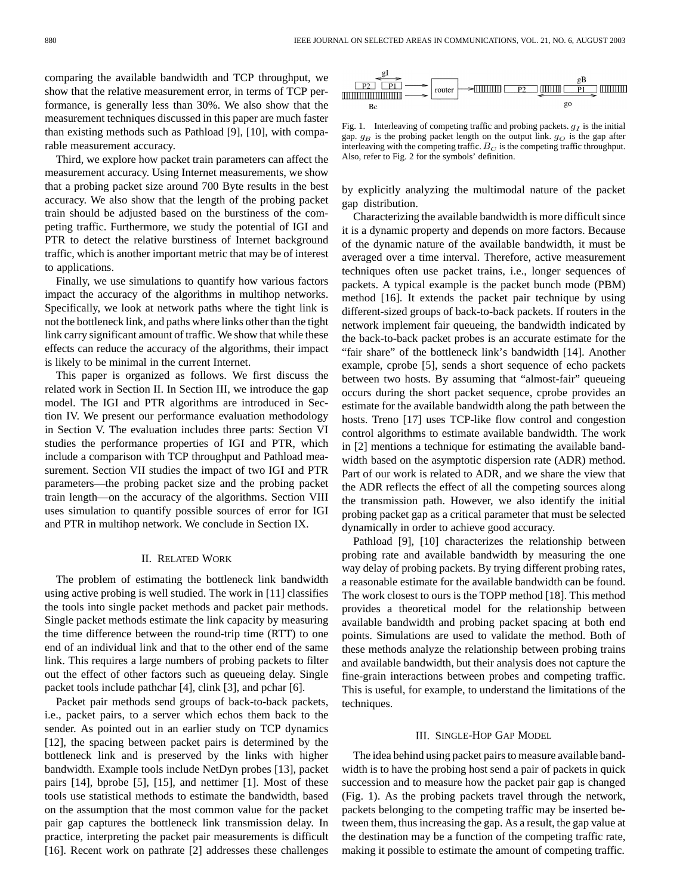comparing the available bandwidth and TCP throughput, we show that the relative measurement error, in terms of TCP performance, is generally less than 30%. We also show that the measurement techniques discussed in this paper are much faster than existing methods such as Pathload [9], [10], with comparable measurement accuracy.

Third, we explore how packet train parameters can affect the measurement accuracy. Using Internet measurements, we show that a probing packet size around 700 Byte results in the best accuracy. We also show that the length of the probing packet train should be adjusted based on the burstiness of the competing traffic. Furthermore, we study the potential of IGI and PTR to detect the relative burstiness of Internet background traffic, which is another important metric that may be of interest to applications.

Finally, we use simulations to quantify how various factors impact the accuracy of the algorithms in multihop networks. Specifically, we look at network paths where the tight link is not the bottleneck link, and paths where links other than the tight link carry significant amount of traffic. We show that while these effects can reduce the accuracy of the algorithms, their impact is likely to be minimal in the current Internet.

This paper is organized as follows. We first discuss the related work in Section II. In Section III, we introduce the gap model. The IGI and PTR algorithms are introduced in Section IV. We present our performance evaluation methodology in Section V. The evaluation includes three parts: Section VI studies the performance properties of IGI and PTR, which include a comparison with TCP throughput and Pathload measurement. Section VII studies the impact of two IGI and PTR parameters—the probing packet size and the probing packet train length—on the accuracy of the algorithms. Section VIII uses simulation to quantify possible sources of error for IGI and PTR in multihop network. We conclude in Section IX.

## II. RELATED WORK

The problem of estimating the bottleneck link bandwidth using active probing is well studied. The work in [11] classifies the tools into single packet methods and packet pair methods. Single packet methods estimate the link capacity by measuring the time difference between the round-trip time (RTT) to one end of an individual link and that to the other end of the same link. This requires a large numbers of probing packets to filter out the effect of other factors such as queueing delay. Single packet tools include pathchar [4], clink [3], and pchar [6].

Packet pair methods send groups of back-to-back packets, i.e., packet pairs, to a server which echos them back to the sender. As pointed out in an earlier study on TCP dynamics [12], the spacing between packet pairs is determined by the bottleneck link and is preserved by the links with higher bandwidth. Example tools include NetDyn probes [13], packet pairs [14], bprobe [5], [15], and nettimer [1]. Most of these tools use statistical methods to estimate the bandwidth, based on the assumption that the most common value for the packet pair gap captures the bottleneck link transmission delay. In practice, interpreting the packet pair measurements is difficult [16]. Recent work on pathrate [2] addresses these challenges



Fig. 1. Interleaving of competing traffic and probing packets.  $g_I$  is the initial gap.  $g_B$  is the probing packet length on the output link.  $g_O$  is the gap after interleaving with the competing traffic.  $B_C$  is the competing traffic throughput. Also, refer to Fig. 2 for the symbols' definition.

by explicitly analyzing the multimodal nature of the packet gap distribution.

Characterizing the available bandwidth is more difficult since it is a dynamic property and depends on more factors. Because of the dynamic nature of the available bandwidth, it must be averaged over a time interval. Therefore, active measurement techniques often use packet trains, i.e., longer sequences of packets. A typical example is the packet bunch mode (PBM) method [16]. It extends the packet pair technique by using different-sized groups of back-to-back packets. If routers in the network implement fair queueing, the bandwidth indicated by the back-to-back packet probes is an accurate estimate for the "fair share" of the bottleneck link's bandwidth [14]. Another example, cprobe [5], sends a short sequence of echo packets between two hosts. By assuming that "almost-fair" queueing occurs during the short packet sequence, cprobe provides an estimate for the available bandwidth along the path between the hosts. Treno [17] uses TCP-like flow control and congestion control algorithms to estimate available bandwidth. The work in [2] mentions a technique for estimating the available bandwidth based on the asymptotic dispersion rate (ADR) method. Part of our work is related to ADR, and we share the view that the ADR reflects the effect of all the competing sources along the transmission path. However, we also identify the initial probing packet gap as a critical parameter that must be selected dynamically in order to achieve good accuracy.

Pathload [9], [10] characterizes the relationship between probing rate and available bandwidth by measuring the one way delay of probing packets. By trying different probing rates, a reasonable estimate for the available bandwidth can be found. The work closest to ours is the TOPP method [18]. This method provides a theoretical model for the relationship between available bandwidth and probing packet spacing at both end points. Simulations are used to validate the method. Both of these methods analyze the relationship between probing trains and available bandwidth, but their analysis does not capture the fine-grain interactions between probes and competing traffic. This is useful, for example, to understand the limitations of the techniques.

#### III. SINGLE-HOP GAP MODEL

The idea behind using packet pairs to measure available bandwidth is to have the probing host send a pair of packets in quick succession and to measure how the packet pair gap is changed (Fig. 1). As the probing packets travel through the network, packets belonging to the competing traffic may be inserted between them, thus increasing the gap. As a result, the gap value at the destination may be a function of the competing traffic rate, making it possible to estimate the amount of competing traffic.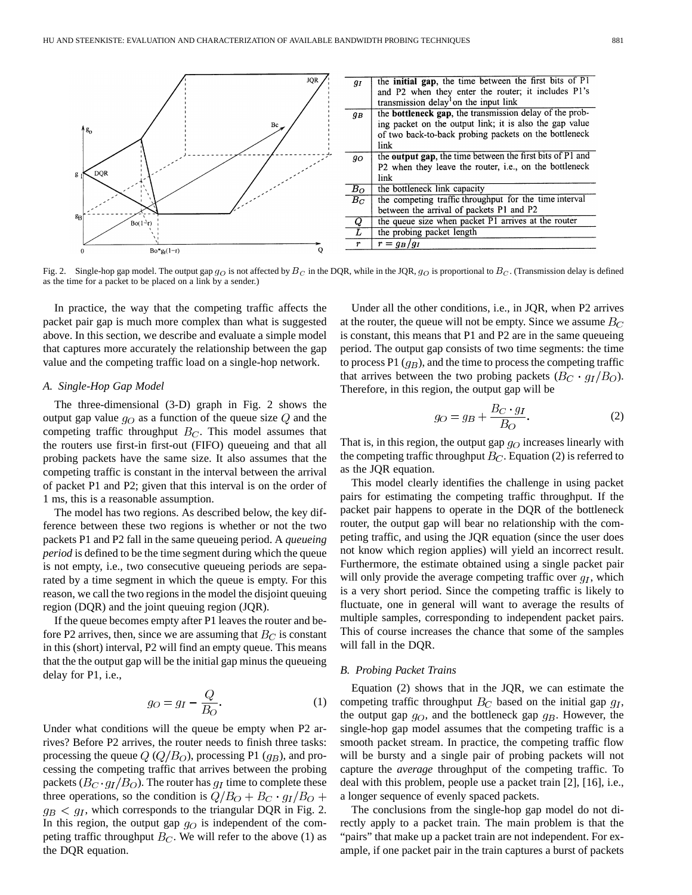

Fig. 2. Single-hop gap model. The output gap  $g_O$  is not affected by  $B_C$  in the DQR, while in the JQR,  $g_O$  is proportional to  $B_C$ . (Transmission delay is defined as the time for a packet to be placed on a link by a sender.)

In practice, the way that the competing traffic affects the packet pair gap is much more complex than what is suggested above. In this section, we describe and evaluate a simple model that captures more accurately the relationship between the gap value and the competing traffic load on a single-hop network.

## *A. Single-Hop Gap Model*

The three-dimensional (3-D) graph in Fig. 2 shows the output gap value  $g<sub>O</sub>$  as a function of the queue size  $Q$  and the competing traffic throughput  $B<sub>C</sub>$ . This model assumes that the routers use first-in first-out (FIFO) queueing and that all probing packets have the same size. It also assumes that the competing traffic is constant in the interval between the arrival of packet P1 and P2; given that this interval is on the order of 1 ms, this is a reasonable assumption.

The model has two regions. As described below, the key difference between these two regions is whether or not the two packets P1 and P2 fall in the same queueing period. A *queueing period* is defined to be the time segment during which the queue is not empty, i.e., two consecutive queueing periods are separated by a time segment in which the queue is empty. For this reason, we call the two regions in the model the disjoint queuing region (DQR) and the joint queuing region (JQR).

If the queue becomes empty after P1 leaves the router and before P2 arrives, then, since we are assuming that  $B_C$  is constant in this (short) interval, P2 will find an empty queue. This means that the the output gap will be the initial gap minus the queueing delay for P1, i.e.,

$$
g_O = g_I - \frac{Q}{B_O}.\tag{1}
$$

Under what conditions will the queue be empty when P2 arrives? Before P2 arrives, the router needs to finish three tasks: processing the queue  $Q(Q/B<sub>O</sub>)$ , processing P1 ( $q_B$ ), and processing the competing traffic that arrives between the probing packets  $(B_C \cdot g_I / B_O)$ . The router has  $g_I$  time to complete these three operations, so the condition is  $Q/B_O + B_C \cdot g_I/B_O +$  $g_B < g_I$ , which corresponds to the triangular DQR in Fig. 2. In this region, the output gap  $g<sub>O</sub>$  is independent of the competing traffic throughput  $B<sub>C</sub>$ . We will refer to the above (1) as the DQR equation.

Under all the other conditions, i.e., in JQR, when P2 arrives at the router, the queue will not be empty. Since we assume  $B_C$ is constant, this means that P1 and P2 are in the same queueing period. The output gap consists of two time segments: the time to process P1  $(q_B)$ , and the time to process the competing traffic that arrives between the two probing packets  $(B_C \cdot g_I / B_O)$ . Therefore, in this region, the output gap will be

$$
g_O = g_B + \frac{B_C \cdot g_I}{B_O}.\tag{2}
$$

That is, in this region, the output gap  $q_O$  increases linearly with the competing traffic throughput  $B<sub>C</sub>$ . Equation (2) is referred to as the JQR equation.

This model clearly identifies the challenge in using packet pairs for estimating the competing traffic throughput. If the packet pair happens to operate in the DQR of the bottleneck router, the output gap will bear no relationship with the competing traffic, and using the JQR equation (since the user does not know which region applies) will yield an incorrect result. Furthermore, the estimate obtained using a single packet pair will only provide the average competing traffic over  $q_I$ , which is a very short period. Since the competing traffic is likely to fluctuate, one in general will want to average the results of multiple samples, corresponding to independent packet pairs. This of course increases the chance that some of the samples will fall in the DQR.

## *B. Probing Packet Trains*

Equation (2) shows that in the JQR, we can estimate the competing traffic throughput  $B_C$  based on the initial gap  $g_I$ , the output gap  $g_O$ , and the bottleneck gap  $g_B$ . However, the single-hop gap model assumes that the competing traffic is a smooth packet stream. In practice, the competing traffic flow will be bursty and a single pair of probing packets will not capture the *average* throughput of the competing traffic. To deal with this problem, people use a packet train [2], [16], i.e., a longer sequence of evenly spaced packets.

The conclusions from the single-hop gap model do not directly apply to a packet train. The main problem is that the "pairs" that make up a packet train are not independent. For example, if one packet pair in the train captures a burst of packets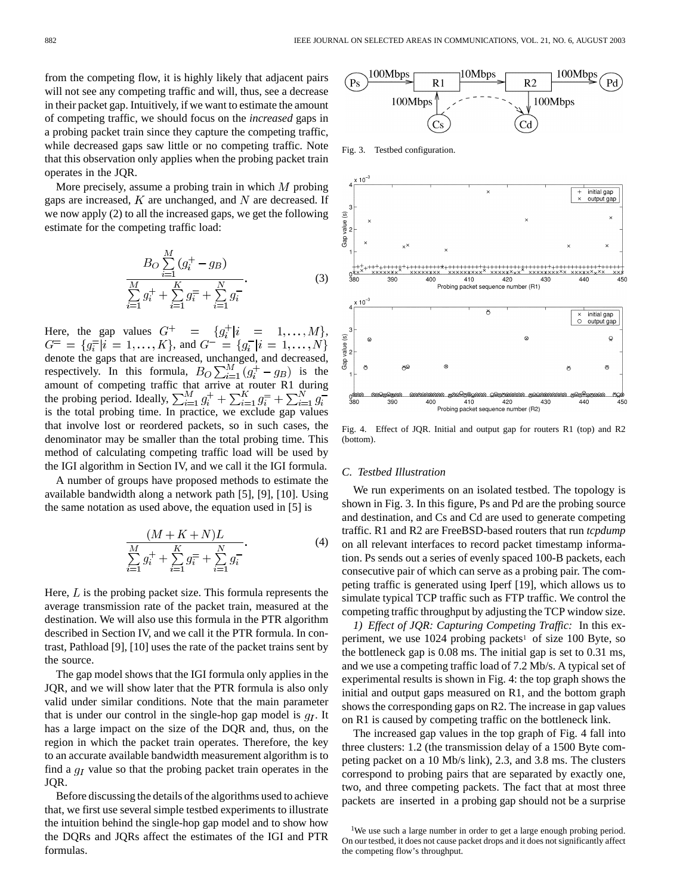from the competing flow, it is highly likely that adjacent pairs will not see any competing traffic and will, thus, see a decrease in their packet gap. Intuitively, if we want to estimate the amount of competing traffic, we should focus on the *increased* gaps in a probing packet train since they capture the competing traffic, while decreased gaps saw little or no competing traffic. Note that this observation only applies when the probing packet train operates in the JQR.

More precisely, assume a probing train in which  $M$  probing gaps are increased,  $K$  are unchanged, and  $N$  are decreased. If we now apply (2) to all the increased gaps, we get the following estimate for the competing traffic load:

$$
B_O \sum_{i=1}^{M} (g_i^+ - g_B)
$$
  

$$
\sum_{i=1}^{M} g_i^+ + \sum_{i=1}^{K} g_i^- + \sum_{i=1}^{N} g_i^-.
$$
 (3)

Here, the gap values  $G^+$  =  $\{g_i^+|i = 1, ..., M\}$ ,  $G^{\pm} = \{g_i^{\pm} | i = 1, ..., K\}$ , and  $G^{\pm} = \{g_i^{\pm} | i = 1, ..., N\}$ denote the gaps that are increased, unchanged, and decreased, respectively. In this formula,  $B_O \sum_{i=1}^{M} (g_i^+ - g_B)$  is the amount of competing traffic that arrive at router R1 during the probing period. Ideally, is the total probing time. In practice, we exclude gap values that involve lost or reordered packets, so in such cases, the denominator may be smaller than the total probing time. This method of calculating competing traffic load will be used by the IGI algorithm in Section IV, and we call it the IGI formula.

A number of groups have proposed methods to estimate the available bandwidth along a network path [5], [9], [10]. Using the same notation as used above, the equation used in [5] is

$$
\frac{(M+K+N)L}{\sum_{i=1}^{M} g_i^+ + \sum_{i=1}^{K} g_i^- + \sum_{i=1}^{N} g_i^-}.
$$
\n(4)

Here,  $L$  is the probing packet size. This formula represents the average transmission rate of the packet train, measured at the destination. We will also use this formula in the PTR algorithm described in Section IV, and we call it the PTR formula. In contrast, Pathload [9], [10] uses the rate of the packet trains sent by the source.

The gap model shows that the IGI formula only applies in the JQR, and we will show later that the PTR formula is also only valid under similar conditions. Note that the main parameter that is under our control in the single-hop gap model is  $q_I$ . It has a large impact on the size of the DQR and, thus, on the region in which the packet train operates. Therefore, the key to an accurate available bandwidth measurement algorithm is to find a  $q_I$  value so that the probing packet train operates in the JQR.

Before discussing the details of the algorithms used to achieve that, we first use several simple testbed experiments to illustrate the intuition behind the single-hop gap model and to show how the DQRs and JQRs affect the estimates of the IGI and PTR formulas.



Fig. 3. Testbed configuration.



Fig. 4. Effect of JQR. Initial and output gap for routers R1 (top) and R2 (bottom).

# *C. Testbed Illustration*

We run experiments on an isolated testbed. The topology is shown in Fig. 3. In this figure, Ps and Pd are the probing source and destination, and Cs and Cd are used to generate competing traffic. R1 and R2 are FreeBSD-based routers that run *tcpdump* on all relevant interfaces to record packet timestamp information. Ps sends out a series of evenly spaced 100-B packets, each consecutive pair of which can serve as a probing pair. The competing traffic is generated using Iperf [19], which allows us to simulate typical TCP traffic such as FTP traffic. We control the competing traffic throughput by adjusting the TCP window size.

*1) Effect of JQR: Capturing Competing Traffic:* In this experiment, we use 1024 probing packets<sup>1</sup> of size 100 Byte, so the bottleneck gap is 0.08 ms. The initial gap is set to 0.31 ms, and we use a competing traffic load of 7.2 Mb/s. A typical set of experimental results is shown in Fig. 4: the top graph shows the initial and output gaps measured on R1, and the bottom graph shows the corresponding gaps on R2. The increase in gap values on R1 is caused by competing traffic on the bottleneck link.

The increased gap values in the top graph of Fig. 4 fall into three clusters: 1.2 (the transmission delay of a 1500 Byte competing packet on a 10 Mb/s link), 2.3, and 3.8 ms. The clusters correspond to probing pairs that are separated by exactly one, two, and three competing packets. The fact that at most three packets are inserted in a probing gap should not be a surprise

<sup>&</sup>lt;sup>1</sup>We use such a large number in order to get a large enough probing period. On our testbed, it does not cause packet drops and it does not significantly affect the competing flow's throughput.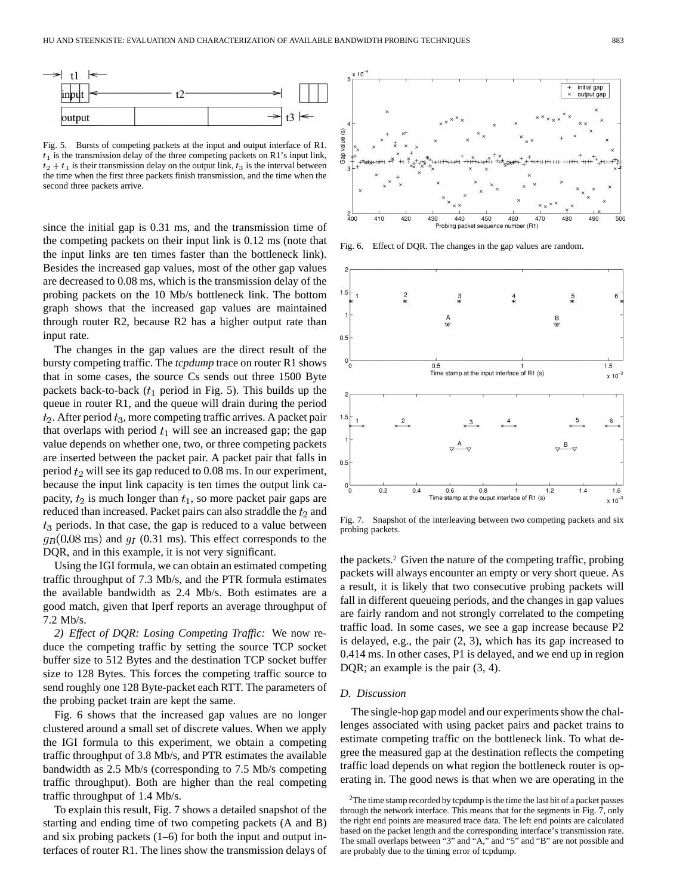

Fig. 5. Bursts of competing packets at the input and output interface of R1.  $t_1$  is the transmission delay of the three competing packets on R1's input link,  $t_2 + t_1$  is their transmission delay on the output link,  $t_3$  is the interval between the time when the first three packets finish transmission, and the time when the second three packets arrive.

since the initial gap is 0.31 ms, and the transmission time of the competing packets on their input link is 0.12 ms (note that the input links are ten times faster than the bottleneck link). Besides the increased gap values, most of the other gap values are decreased to 0.08 ms, which is the transmission delay of the probing packets on the 10 Mb/s bottleneck link. The bottom graph shows that the increased gap values are maintained through router R2, because R2 has a higher output rate than input rate.

The changes in the gap values are the direct result of the bursty competing traffic. The *tcpdump* trace on router R1 shows that in some cases, the source Cs sends out three 1500 Byte packets back-to-back  $(t_1$  period in Fig. 5). This builds up the queue in router R1, and the queue will drain during the period  $t_2$ . After period  $t_3$ , more competing traffic arrives. A packet pair that overlaps with period  $t_1$  will see an increased gap; the gap value depends on whether one, two, or three competing packets are inserted between the packet pair. A packet pair that falls in period  $t_2$  will see its gap reduced to 0.08 ms. In our experiment, because the input link capacity is ten times the output link capacity,  $t_2$  is much longer than  $t_1$ , so more packet pair gaps are reduced than increased. Packet pairs can also straddle the  $t_2$  and  $t_3$  periods. In that case, the gap is reduced to a value between  $q_B(0.08 \text{ ms})$  and  $q_I$  (0.31 ms). This effect corresponds to the DQR, and in this example, it is not very significant.

Using the IGI formula, we can obtain an estimated competing traffic throughput of 7.3 Mb/s, and the PTR formula estimates the available bandwidth as 2.4 Mb/s. Both estimates are a good match, given that Iperf reports an average throughput of 7.2 Mb/s.

*2) Effect of DQR: Losing Competing Traffic:* We now reduce the competing traffic by setting the source TCP socket buffer size to 512 Bytes and the destination TCP socket buffer size to 128 Bytes. This forces the competing traffic source to send roughly one 128 Byte-packet each RTT. The parameters of the probing packet train are kept the same.

Fig. 6 shows that the increased gap values are no longer clustered around a small set of discrete values. When we apply the IGI formula to this experiment, we obtain a competing traffic throughput of 3.8 Mb/s, and PTR estimates the available bandwidth as 2.5 Mb/s (corresponding to 7.5 Mb/s competing traffic throughput). Both are higher than the real competing traffic throughput of 1.4 Mb/s.

To explain this result, Fig. 7 shows a detailed snapshot of the starting and ending time of two competing packets (A and B) and six probing packets (1–6) for both the input and output interfaces of router R1. The lines show the transmission delays of



Fig. 6. Effect of DQR. The changes in the gap values are random.



Fig. 7. Snapshot of the interleaving between two competing packets and six probing packets.

the packets.2 Given the nature of the competing traffic, probing packets will always encounter an empty or very short queue. As a result, it is likely that two consecutive probing packets will fall in different queueing periods, and the changes in gap values are fairly random and not strongly correlated to the competing traffic load. In some cases, we see a gap increase because P2 is delayed, e.g., the pair (2, 3), which has its gap increased to 0.414 ms. In other cases, P1 is delayed, and we end up in region DQR; an example is the pair  $(3, 4)$ .

## *D. Discussion*

The single-hop gap model and our experiments show the challenges associated with using packet pairs and packet trains to estimate competing traffic on the bottleneck link. To what degree the measured gap at the destination reflects the competing traffic load depends on what region the bottleneck router is operating in. The good news is that when we are operating in the

<sup>2</sup>The time stamp recorded by tcpdump is the time the last bit of a packet passes through the network interface. This means that for the segments in Fig. 7, only the right end points are measured trace data. The left end points are calculated based on the packet length and the corresponding interface's transmission rate. The small overlaps between "3" and "A," and "5" and "B" are not possible and are probably due to the timing error of tcpdump.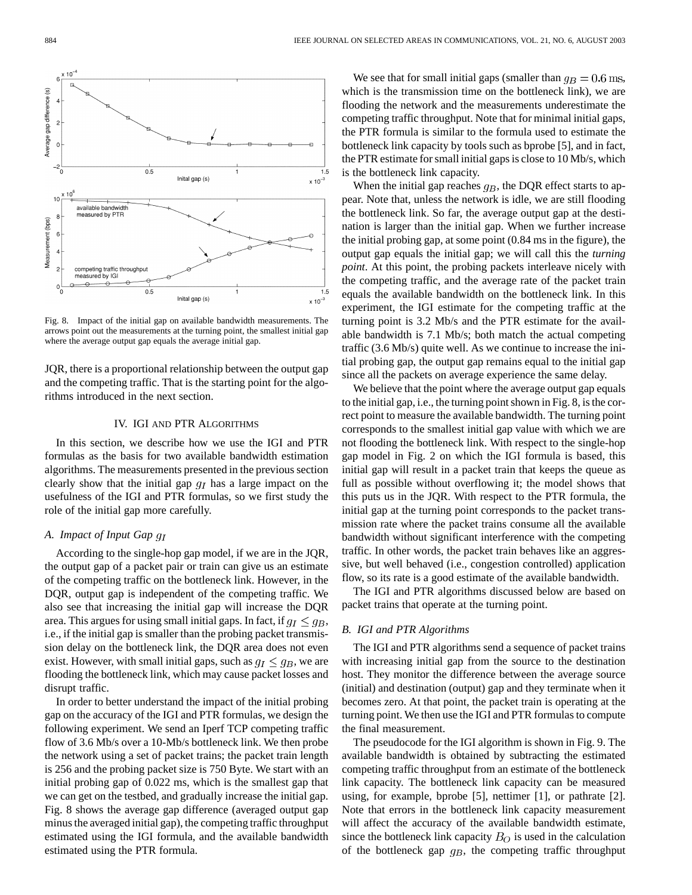

Fig. 8. Impact of the initial gap on available bandwidth measurements. The arrows point out the measurements at the turning point, the smallest initial gap where the average output gap equals the average initial gap.

JQR, there is a proportional relationship between the output gap and the competing traffic. That is the starting point for the algorithms introduced in the next section.

# IV. IGI AND PTR ALGORITHMS

In this section, we describe how we use the IGI and PTR formulas as the basis for two available bandwidth estimation algorithms. The measurements presented in the previous section clearly show that the initial gap  $q_I$  has a large impact on the usefulness of the IGI and PTR formulas, so we first study the role of the initial gap more carefully.

# *A. Impact of Input Gap*

According to the single-hop gap model, if we are in the JQR, the output gap of a packet pair or train can give us an estimate of the competing traffic on the bottleneck link. However, in the DQR, output gap is independent of the competing traffic. We also see that increasing the initial gap will increase the DQR area. This argues for using small initial gaps. In fact, if  $g_I \leq g_B$ , i.e., if the initial gap is smaller than the probing packet transmission delay on the bottleneck link, the DQR area does not even exist. However, with small initial gaps, such as  $g_I \leq g_B$ , we are flooding the bottleneck link, which may cause packet losses and disrupt traffic.

In order to better understand the impact of the initial probing gap on the accuracy of the IGI and PTR formulas, we design the following experiment. We send an Iperf TCP competing traffic flow of 3.6 Mb/s over a 10-Mb/s bottleneck link. We then probe the network using a set of packet trains; the packet train length is 256 and the probing packet size is 750 Byte. We start with an initial probing gap of 0.022 ms, which is the smallest gap that we can get on the testbed, and gradually increase the initial gap. Fig. 8 shows the average gap difference (averaged output gap minus the averaged initial gap), the competing traffic throughput estimated using the IGI formula, and the available bandwidth estimated using the PTR formula.

We see that for small initial gaps (smaller than  $g_B = 0.6$  ms, which is the transmission time on the bottleneck link), we are flooding the network and the measurements underestimate the competing traffic throughput. Note that for minimal initial gaps, the PTR formula is similar to the formula used to estimate the bottleneck link capacity by tools such as bprobe [5], and in fact, the PTR estimate for small initial gaps is close to 10 Mb/s, which is the bottleneck link capacity.

When the initial gap reaches  $g_B$ , the DQR effect starts to appear. Note that, unless the network is idle, we are still flooding the bottleneck link. So far, the average output gap at the destination is larger than the initial gap. When we further increase the initial probing gap, at some point (0.84 ms in the figure), the output gap equals the initial gap; we will call this the *turning point*. At this point, the probing packets interleave nicely with the competing traffic, and the average rate of the packet train equals the available bandwidth on the bottleneck link. In this experiment, the IGI estimate for the competing traffic at the turning point is 3.2 Mb/s and the PTR estimate for the available bandwidth is 7.1 Mb/s; both match the actual competing traffic (3.6 Mb/s) quite well. As we continue to increase the initial probing gap, the output gap remains equal to the initial gap since all the packets on average experience the same delay.

We believe that the point where the average output gap equals to the initial gap, i.e., the turning point shown in Fig. 8, is the correct point to measure the available bandwidth. The turning point corresponds to the smallest initial gap value with which we are not flooding the bottleneck link. With respect to the single-hop gap model in Fig. 2 on which the IGI formula is based, this initial gap will result in a packet train that keeps the queue as full as possible without overflowing it; the model shows that this puts us in the JQR. With respect to the PTR formula, the initial gap at the turning point corresponds to the packet transmission rate where the packet trains consume all the available bandwidth without significant interference with the competing traffic. In other words, the packet train behaves like an aggressive, but well behaved (i.e., congestion controlled) application flow, so its rate is a good estimate of the available bandwidth.

The IGI and PTR algorithms discussed below are based on packet trains that operate at the turning point.

# *B. IGI and PTR Algorithms*

The IGI and PTR algorithms send a sequence of packet trains with increasing initial gap from the source to the destination host. They monitor the difference between the average source (initial) and destination (output) gap and they terminate when it becomes zero. At that point, the packet train is operating at the turning point. We then use the IGI and PTR formulas to compute the final measurement.

The pseudocode for the IGI algorithm is shown in Fig. 9. The available bandwidth is obtained by subtracting the estimated competing traffic throughput from an estimate of the bottleneck link capacity. The bottleneck link capacity can be measured using, for example, bprobe [5], nettimer [1], or pathrate [2]. Note that errors in the bottleneck link capacity measurement will affect the accuracy of the available bandwidth estimate, since the bottleneck link capacity  $B<sub>O</sub>$  is used in the calculation of the bottleneck gap  $g_B$ , the competing traffic throughput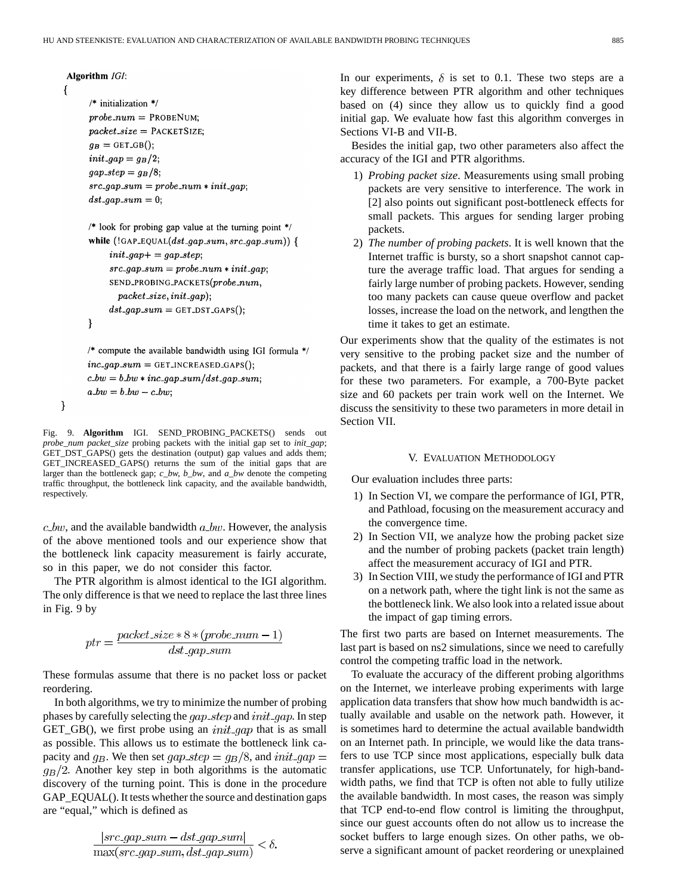Algorithm IGI:

 $\mathcal{I}$ 

```
/* initialization */
probe_{.}num = PROBENUM;
packet\_size = PACKETSIZE;
g_B = GET_GB();
init\_{gap} = g_B/2;gap\_step = g_B/8;src\_\_gap\_\_sum = probe\_\_num * init\_\_gap;dst\_{gap.sum} = 0;
```
/\* look for probing gap value at the turning point \*/ while  $($ !GAP\_EQUAL $(dst_{.}gap_{.}sum, src_{.}gap_{.}sum) )$  {  $init\_{gap} += gap\_{step;}$  $src\_\_gap\_\_sum = probe\_\_num * init\_\_op;$ SEND\_PROBING\_PACKETS(probe\_num,  $packet\_size, init\_gap);$  $dst\_\_gap\_\_sum = \texttt{GET\_\$ 

 $\mathcal{E}$ /\* compute the available bandwidth using IGI formula \*/

}

 $inc\text{-}gap\text{-}sum = GET\_INCREASED\text{-}GAPS();$  $c_b w = b_b w * inc_gap\_sum/dst_gap\_sum;$  $a_bw = b_bw - c_bw;$ 

Fig. 9. **Algorithm** IGI. SEND\_PROBING\_PACKETS() sends out *probe\_num packet\_size* probing packets with the initial gap set to *init\_gap*; GET\_DST\_GAPS() gets the destination (output) gap values and adds them; GET\_INCREASED\_GAPS() returns the sum of the initial gaps that are larger than the bottleneck gap; *c\_bw, b\_bw*, and *a\_bw* denote the competing traffic throughput, the bottleneck link capacity, and the available bandwidth, respectively.

 $c_b$ , and the available bandwidth  $a_b$ . However, the analysis of the above mentioned tools and our experience show that the bottleneck link capacity measurement is fairly accurate, so in this paper, we do not consider this factor.

The PTR algorithm is almost identical to the IGI algorithm. The only difference is that we need to replace the last three lines in Fig. 9 by

$$
ptr = \frac{packet\_size * 8 * (probe\_num - 1)}{dst\_gap\_sum}
$$

These formulas assume that there is no packet loss or packet reordering.

In both algorithms, we try to minimize the number of probing phases by carefully selecting the  $gap\_step$  and  $init\_gap$ . In step  $GET_GB()$ , we first probe using an *init qap* that is as small as possible. This allows us to estimate the bottleneck link capacity and  $g_B$ . We then set  $gap\_step = g_B/8$ , and  $init\_gap =$  $g_B/2$ . Another key step in both algorithms is the automatic discovery of the turning point. This is done in the procedure GAP\_EQUAL(). It tests whether the source and destination gaps are "equal," which is defined as

$$
\frac{|src\_\_gap\_sum - dst\_\_gap\_sum|}{\max(src\_\_gap\_sum,dst\_\_gap\_sum)} < \delta.
$$

In our experiments,  $\delta$  is set to 0.1. These two steps are a key difference between PTR algorithm and other techniques based on (4) since they allow us to quickly find a good initial gap. We evaluate how fast this algorithm converges in Sections VI-B and VII-B.

Besides the initial gap, two other parameters also affect the accuracy of the IGI and PTR algorithms.

- 1) *Probing packet size*. Measurements using small probing packets are very sensitive to interference. The work in [2] also points out significant post-bottleneck effects for small packets. This argues for sending larger probing packets.
- 2) *The number of probing packets*. It is well known that the Internet traffic is bursty, so a short snapshot cannot capture the average traffic load. That argues for sending a fairly large number of probing packets. However, sending too many packets can cause queue overflow and packet losses, increase the load on the network, and lengthen the time it takes to get an estimate.

Our experiments show that the quality of the estimates is not very sensitive to the probing packet size and the number of packets, and that there is a fairly large range of good values for these two parameters. For example, a 700-Byte packet size and 60 packets per train work well on the Internet. We discuss the sensitivity to these two parameters in more detail in Section VII.

# V. EVALUATION METHODOLOGY

Our evaluation includes three parts:

- 1) In Section VI, we compare the performance of IGI, PTR, and Pathload, focusing on the measurement accuracy and the convergence time.
- 2) In Section VII, we analyze how the probing packet size and the number of probing packets (packet train length) affect the measurement accuracy of IGI and PTR.
- 3) In Section VIII, we study the performance of IGI and PTR on a network path, where the tight link is not the same as the bottleneck link. We also look into a related issue about the impact of gap timing errors.

The first two parts are based on Internet measurements. The last part is based on ns2 simulations, since we need to carefully control the competing traffic load in the network.

To evaluate the accuracy of the different probing algorithms on the Internet, we interleave probing experiments with large application data transfers that show how much bandwidth is actually available and usable on the network path. However, it is sometimes hard to determine the actual available bandwidth on an Internet path. In principle, we would like the data transfers to use TCP since most applications, especially bulk data transfer applications, use TCP. Unfortunately, for high-bandwidth paths, we find that TCP is often not able to fully utilize the available bandwidth. In most cases, the reason was simply that TCP end-to-end flow control is limiting the throughput, since our guest accounts often do not allow us to increase the socket buffers to large enough sizes. On other paths, we observe a significant amount of packet reordering or unexplained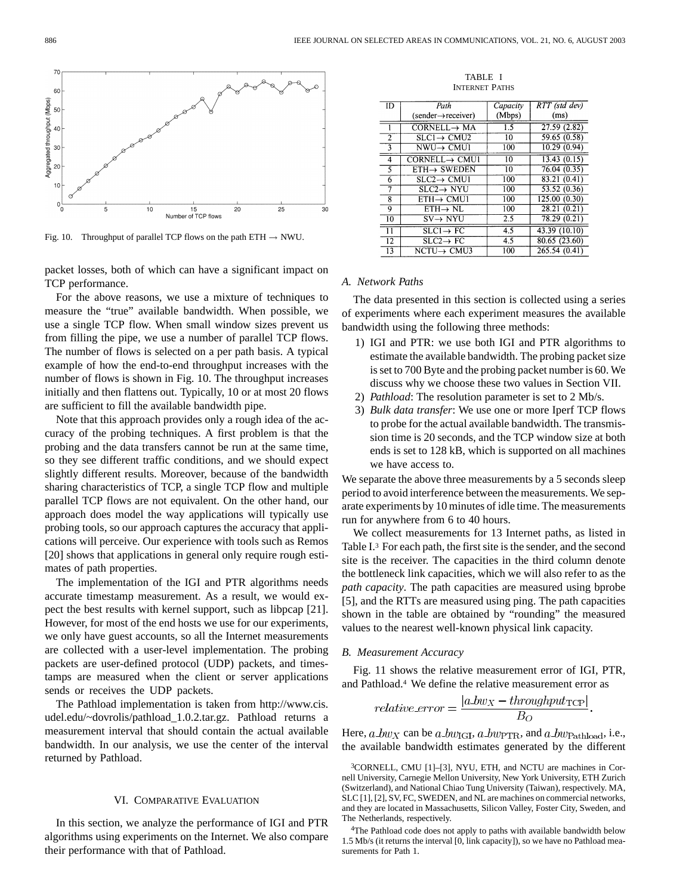

Fig. 10. Throughput of parallel TCP flows on the path ETH  $\rightarrow$  NWU.

packet losses, both of which can have a significant impact on TCP performance.

For the above reasons, we use a mixture of techniques to measure the "true" available bandwidth. When possible, we use a single TCP flow. When small window sizes prevent us from filling the pipe, we use a number of parallel TCP flows. The number of flows is selected on a per path basis. A typical example of how the end-to-end throughput increases with the number of flows is shown in Fig. 10. The throughput increases initially and then flattens out. Typically, 10 or at most 20 flows are sufficient to fill the available bandwidth pipe.

Note that this approach provides only a rough idea of the accuracy of the probing techniques. A first problem is that the probing and the data transfers cannot be run at the same time, so they see different traffic conditions, and we should expect slightly different results. Moreover, because of the bandwidth sharing characteristics of TCP, a single TCP flow and multiple parallel TCP flows are not equivalent. On the other hand, our approach does model the way applications will typically use probing tools, so our approach captures the accuracy that applications will perceive. Our experience with tools such as Remos [20] shows that applications in general only require rough estimates of path properties.

The implementation of the IGI and PTR algorithms needs accurate timestamp measurement. As a result, we would expect the best results with kernel support, such as libpcap [21]. However, for most of the end hosts we use for our experiments, we only have guest accounts, so all the Internet measurements are collected with a user-level implementation. The probing packets are user-defined protocol (UDP) packets, and timestamps are measured when the client or server applications sends or receives the UDP packets.

The Pathload implementation is taken from http://www.cis. udel.edu/~dovrolis/pathload\_1.0.2.tar.gz. Pathload returns a measurement interval that should contain the actual available bandwidth. In our analysis, we use the center of the interval returned by Pathload.

# VI. COMPARATIVE EVALUATION

In this section, we analyze the performance of IGI and PTR algorithms using experiments on the Internet. We also compare their performance with that of Pathload.

| ந              | Path                            | Capacity         | RTT (std dev)             |  |  |
|----------------|---------------------------------|------------------|---------------------------|--|--|
|                | $(sender \rightarrow receiver)$ | (Mbps)           | (ms)                      |  |  |
|                | $CORNELL \rightarrow MA$        | 1.5              | 27.59(2.82)               |  |  |
| $\overline{2}$ | $SLCl \rightarrow CMU2$         | 10               | 59.65(0.58)               |  |  |
|                | $NWU \rightarrow CMU1$          | 100              | 10.29(0.94)               |  |  |
| $\overline{4}$ | $CORNELL \rightarrow CMU1$      | 10               | $\overline{13.43}$ (0.15) |  |  |
| 3              | $ETH \rightarrow SWEDEN$        | Ï0               | 76.04(0.35)               |  |  |
| 6              | $SLC2 \rightarrow$ CMU1         | 100              | 83.21(0.41)               |  |  |
| 7              | $SLC2 \rightarrow NYU$          | 100              | 53.52(0.36)               |  |  |
| $\overline{8}$ | $ETH \rightarrow CMU1$          | 100              | 125.00(0.30)              |  |  |
| 9              | $ETH \rightarrow NL$            | 100              | 28.21(0.21)               |  |  |
| 10             | $SV \rightarrow NYU$            | 2.5              | 78.29(0.21)               |  |  |
| π              | $SLC1 \rightarrow FC$           | $\overline{4.5}$ | 43.39 (10.10)             |  |  |
| 17             | $STCO \times FC$                | 15               | 80.65.73.60               |  |  |

TABLE I INTERNET PATHS

#### *A. Network Paths*

 $\overline{13}$ 

 $=$ 

 $=$ 

 $=$ 

The data presented in this section is collected using a series of experiments where each experiment measures the available bandwidth using the following three methods:

100

 $265.54(0.41)$ 

 $NCTU \rightarrow CMU3$ 

- 1) IGI and PTR: we use both IGI and PTR algorithms to estimate the available bandwidth. The probing packet size is set to 700 Byte and the probing packet number is 60. We discuss why we choose these two values in Section VII.
- 2) *Pathload*: The resolution parameter is set to 2 Mb/s.
- 3) *Bulk data transfer*: We use one or more Iperf TCP flows to probe for the actual available bandwidth. The transmission time is 20 seconds, and the TCP window size at both ends is set to 128 kB, which is supported on all machines we have access to.

We separate the above three measurements by a 5 seconds sleep period to avoid interference between the measurements. We separate experiments by 10 minutes of idle time. The measurements run for anywhere from 6 to 40 hours.

We collect measurements for 13 Internet paths, as listed in Table I.3 For each path, the first site is the sender, and the second site is the receiver. The capacities in the third column denote the bottleneck link capacities, which we will also refer to as the *path capacity*. The path capacities are measured using bprobe [5], and the RTTs are measured using ping. The path capacities shown in the table are obtained by "rounding" the measured values to the nearest well-known physical link capacity.

## *B. Measurement Accuracy*

Fig. 11 shows the relative measurement error of IGI, PTR, and Pathload.4 We define the relative measurement error as

$$
relative\_error = \frac{|a\_bw_X - throughput_{\text{TCP}}|}{B_O}
$$

Here, a  $bw_X$  can be a  $bw_{\text{IGI}}$ , a  $bw_{\text{PTR}}$ , and a  $bw_{\text{Pathload}}$ , i.e., the available bandwidth estimates generated by the different

<sup>3</sup>CORNELL, CMU [1]–[3], NYU, ETH, and NCTU are machines in Cornell University, Carnegie Mellon University, New York University, ETH Zurich (Switzerland), and National Chiao Tung University (Taiwan), respectively. MA, SLC [1], [2], SV, FC, SWEDEN, and NL are machines on commercial networks, and they are located in Massachusetts, Silicon Valley, Foster City, Sweden, and The Netherlands, respectively.

<sup>&</sup>lt;sup>4</sup>The Pathload code does not apply to paths with available bandwidth below 1.5 Mb/s (it returns the interval [0, link capacity]), so we have no Pathload measurements for Path 1.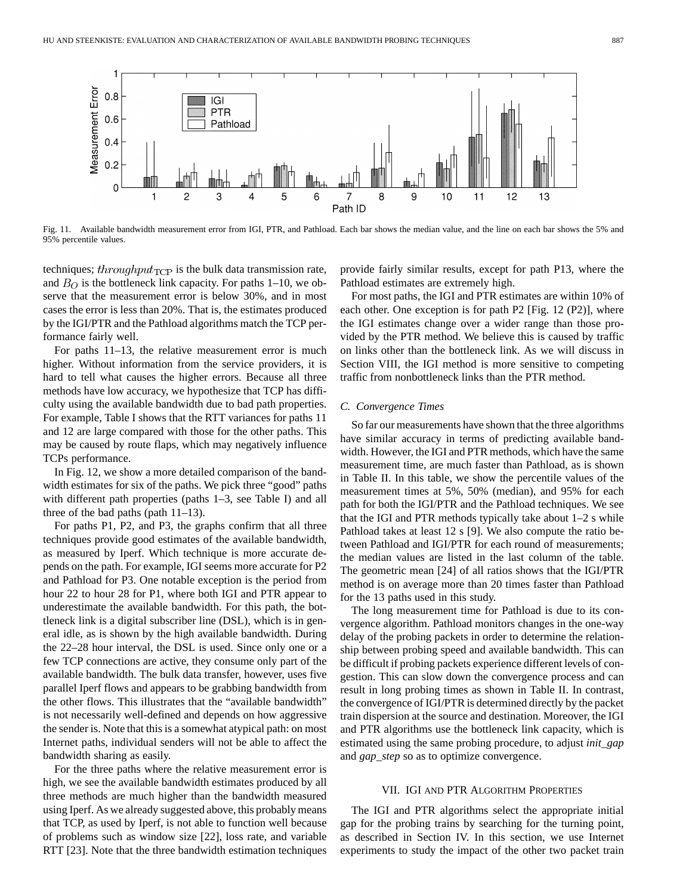

Fig. 11. Available bandwidth measurement error from IGI, PTR, and Pathload. Each bar shows the median value, and the line on each bar shows the 5% and 95% percentile values.

techniques;  $throughput_{\text{TCP}}$  is the bulk data transmission rate, and  $B<sub>O</sub>$  is the bottleneck link capacity. For paths 1–10, we observe that the measurement error is below 30%, and in most cases the error is less than 20%. That is, the estimates produced by the IGI/PTR and the Pathload algorithms match the TCP performance fairly well.

For paths 11–13, the relative measurement error is much higher. Without information from the service providers, it is hard to tell what causes the higher errors. Because all three methods have low accuracy, we hypothesize that TCP has difficulty using the available bandwidth due to bad path properties. For example, Table I shows that the RTT variances for paths 11 and 12 are large compared with those for the other paths. This may be caused by route flaps, which may negatively influence TCPs performance.

In Fig. 12, we show a more detailed comparison of the bandwidth estimates for six of the paths. We pick three "good" paths with different path properties (paths 1–3, see Table I) and all three of the bad paths (path 11–13).

For paths P1, P2, and P3, the graphs confirm that all three techniques provide good estimates of the available bandwidth, as measured by Iperf. Which technique is more accurate depends on the path. For example, IGI seems more accurate for P2 and Pathload for P3. One notable exception is the period from hour 22 to hour 28 for P1, where both IGI and PTR appear to underestimate the available bandwidth. For this path, the bottleneck link is a digital subscriber line (DSL), which is in general idle, as is shown by the high available bandwidth. During the 22–28 hour interval, the DSL is used. Since only one or a few TCP connections are active, they consume only part of the available bandwidth. The bulk data transfer, however, uses five parallel Iperf flows and appears to be grabbing bandwidth from the other flows. This illustrates that the "available bandwidth" is not necessarily well-defined and depends on how aggressive the sender is. Note that this is a somewhat atypical path: on most Internet paths, individual senders will not be able to affect the bandwidth sharing as easily.

For the three paths where the relative measurement error is high, we see the available bandwidth estimates produced by all three methods are much higher than the bandwidth measured using Iperf. As we already suggested above, this probably means that TCP, as used by Iperf, is not able to function well because of problems such as window size [22], loss rate, and variable RTT [23]. Note that the three bandwidth estimation techniques provide fairly similar results, except for path P13, where the Pathload estimates are extremely high.

For most paths, the IGI and PTR estimates are within 10% of each other. One exception is for path P2 [Fig. 12 (P2)], where the IGI estimates change over a wider range than those provided by the PTR method. We believe this is caused by traffic on links other than the bottleneck link. As we will discuss in Section VIII, the IGI method is more sensitive to competing traffic from nonbottleneck links than the PTR method.

## *C. Convergence Times*

So far our measurements have shown that the three algorithms have similar accuracy in terms of predicting available bandwidth. However, the IGI and PTR methods, which have the same measurement time, are much faster than Pathload, as is shown in Table II. In this table, we show the percentile values of the measurement times at 5%, 50% (median), and 95% for each path for both the IGI/PTR and the Pathload techniques. We see that the IGI and PTR methods typically take about 1–2 s while Pathload takes at least 12 s [9]. We also compute the ratio between Pathload and IGI/PTR for each round of measurements; the median values are listed in the last column of the table. The geometric mean [24] of all ratios shows that the IGI/PTR method is on average more than 20 times faster than Pathload for the 13 paths used in this study.

The long measurement time for Pathload is due to its convergence algorithm. Pathload monitors changes in the one-way delay of the probing packets in order to determine the relationship between probing speed and available bandwidth. This can be difficult if probing packets experience different levels of congestion. This can slow down the convergence process and can result in long probing times as shown in Table II. In contrast, the convergence of IGI/PTR is determined directly by the packet train dispersion at the source and destination. Moreover, the IGI and PTR algorithms use the bottleneck link capacity, which is estimated using the same probing procedure, to adjust *init\_gap* and *gap\_step* so as to optimize convergence.

# VII. IGI AND PTR ALGORITHM PROPERTIES

The IGI and PTR algorithms select the appropriate initial gap for the probing trains by searching for the turning point, as described in Section IV. In this section, we use Internet experiments to study the impact of the other two packet train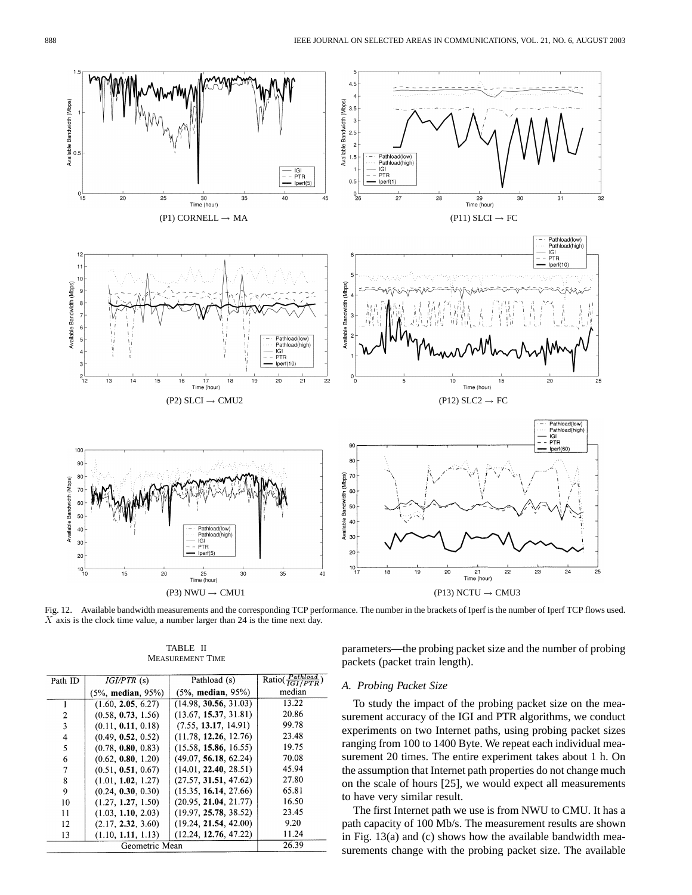

Fig. 12. Available bandwidth measurements and the corresponding TCP performance. The number in the brackets of Iperf is the number of Iperf TCP flows used.  $\overline{X}$  axis is the clock time value, a number larger than 24 is the time next day.

 $\frac{Pathload}{IGI/PTR})$ 

median 13.22

20.86

99.78

23.48 19.75

70.08

45.94

27.80

65.81

16.50

23.45

9.20

11.24

26.39

TABLE II MEASUREMENT TIME

Pathload (s)

 $(5\% , median, 95\%)$ 

 $(14.98, 30.56, 31.03)$ 

 $(13.67, 15.37, 31.81)$ 

 $(7.55, 13.17, 14.91)$ 

 $(11.78, 12.26, 12.76)$ 

 $(15.58, 15.86, 16.55)$ 

 $(49.07, 56.18, 62.24)$ 

 $(14.01, 22.40, 28.51)$ 

 $(27.57, 31.51, 47.62)$ 

 $(15.35, 16.14, 27.66)$ 

 $(20.95, 21.04, 21.77)$ 

 $(19.97, 25.78, 38.52)$ 

 $(19.24, 21.54, 42.00)$ 

 $(12.24, 12.76, 47.22)$ 

 $IGI/PTR(s)$ 

 $(5\%, \text{ median}, 95\%)$ 

 $(1.60, 2.05, 6.27)$ 

 $(0.58, 0.73, 1.56)$ 

 $(0.11, 0.11, 0.18)$ 

 $(0.49, 0.52, 0.52)$ 

 $(0.78, 0.80, 0.83)$ 

 $(0.62, 0.80, 1.20)$ 

 $(0.51, 0.51, 0.67)$ 

 $(1.01, 1.02, 1.27)$ 

 $(0.24, 0.30, 0.30)$ 

 $(1.27, 1.27, 1.50)$ 

 $(1.03, 1.10, 2.03)$ 

 $(2.17, 2.32, 3.60)$ 

 $(1.10, 1.11, 1.13)$ 

Geometric Mean

Path ID

ī

 $\sqrt{2}$ 

 $\overline{\mathbf{3}}$ 

 $\overline{\mathbf{4}}$ 

5

6

 $\boldsymbol{7}$ 

 $\,8\,$ 

9

 $10$ 

 $11$ 

 $12$ 

13

| parameters—the probing packet size and the number of probing |  |
|--------------------------------------------------------------|--|
| packets (packet train length).                               |  |

|  | A. Probing Packet Size |  |  |
|--|------------------------|--|--|
|--|------------------------|--|--|

To study the impact of the probing packet size on the measurement accuracy of the IGI and PTR algorithms, we conduct experiments on two Internet paths, using probing packet sizes ranging from 100 to 1400 Byte. We repeat each individual measurement 20 times. The entire experiment takes about 1 h. On the assumption that Internet path properties do not change much on the scale of hours [25], we would expect all measurements to have very similar result.

The first Internet path we use is from NWU to CMU. It has a path capacity of 100 Mb/s. The measurement results are shown in Fig. 13(a) and (c) shows how the available bandwidth measurements change with the probing packet size. The available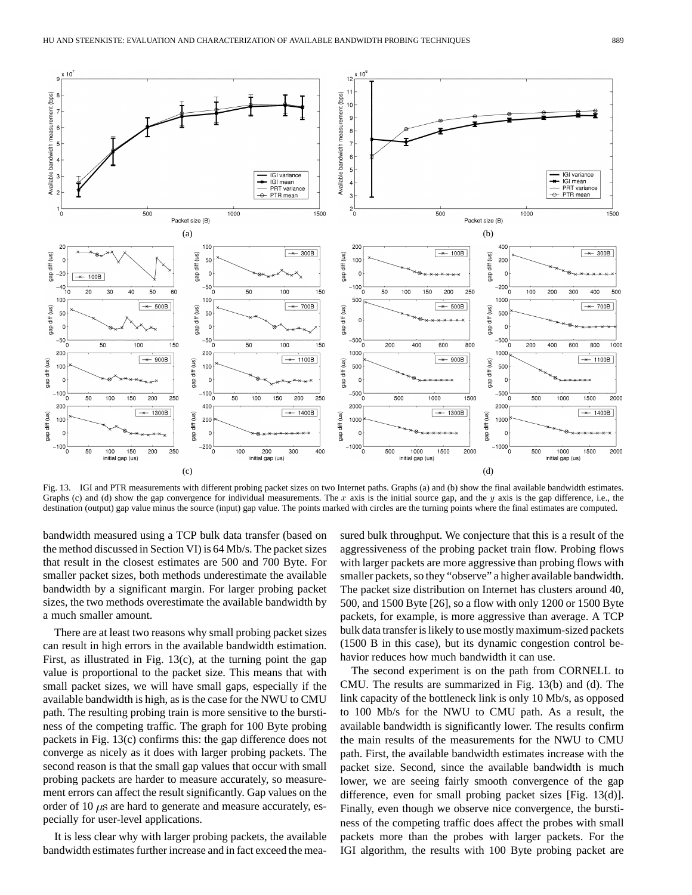

Fig. 13. IGI and PTR measurements with different probing packet sizes on two Internet paths. Graphs (a) and (b) show the final available bandwidth estimates. Graphs (c) and (d) show the gap convergence for individual measurements. The  $x$  axis is the initial source gap, and the  $y$  axis is the gap difference, i.e., the destination (output) gap value minus the source (input) gap value. The points marked with circles are the turning points where the final estimates are computed.

bandwidth measured using a TCP bulk data transfer (based on the method discussed in Section VI) is 64 Mb/s. The packet sizes that result in the closest estimates are 500 and 700 Byte. For smaller packet sizes, both methods underestimate the available bandwidth by a significant margin. For larger probing packet sizes, the two methods overestimate the available bandwidth by a much smaller amount.

There are at least two reasons why small probing packet sizes can result in high errors in the available bandwidth estimation. First, as illustrated in Fig. 13(c), at the turning point the gap value is proportional to the packet size. This means that with small packet sizes, we will have small gaps, especially if the available bandwidth is high, as is the case for the NWU to CMU path. The resulting probing train is more sensitive to the burstiness of the competing traffic. The graph for 100 Byte probing packets in Fig. 13(c) confirms this: the gap difference does not converge as nicely as it does with larger probing packets. The second reason is that the small gap values that occur with small probing packets are harder to measure accurately, so measurement errors can affect the result significantly. Gap values on the order of 10  $\mu$ s are hard to generate and measure accurately, especially for user-level applications.

It is less clear why with larger probing packets, the available bandwidth estimates further increase and in fact exceed the measured bulk throughput. We conjecture that this is a result of the aggressiveness of the probing packet train flow. Probing flows with larger packets are more aggressive than probing flows with smaller packets, so they "observe" a higher available bandwidth. The packet size distribution on Internet has clusters around 40, 500, and 1500 Byte [26], so a flow with only 1200 or 1500 Byte packets, for example, is more aggressive than average. A TCP bulk data transfer is likely to use mostly maximum-sized packets (1500 B in this case), but its dynamic congestion control behavior reduces how much bandwidth it can use.

The second experiment is on the path from CORNELL to CMU. The results are summarized in Fig. 13(b) and (d). The link capacity of the bottleneck link is only 10 Mb/s, as opposed to 100 Mb/s for the NWU to CMU path. As a result, the available bandwidth is significantly lower. The results confirm the main results of the measurements for the NWU to CMU path. First, the available bandwidth estimates increase with the packet size. Second, since the available bandwidth is much lower, we are seeing fairly smooth convergence of the gap difference, even for small probing packet sizes [Fig. 13(d)]. Finally, even though we observe nice convergence, the burstiness of the competing traffic does affect the probes with small packets more than the probes with larger packets. For the IGI algorithm, the results with 100 Byte probing packet are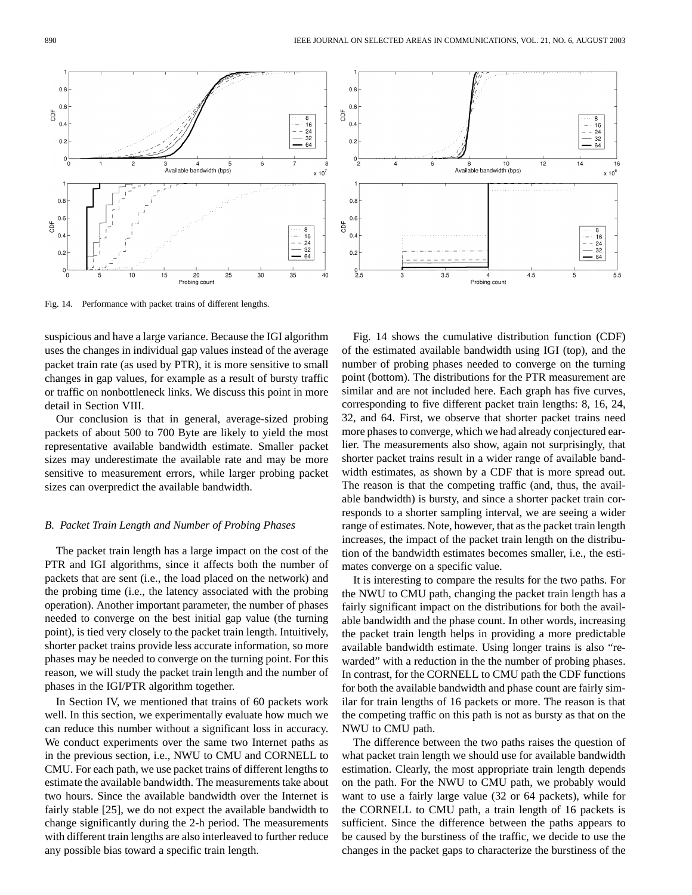![](_page_11_Figure_1.jpeg)

Fig. 14. Performance with packet trains of different lengths.

suspicious and have a large variance. Because the IGI algorithm uses the changes in individual gap values instead of the average packet train rate (as used by PTR), it is more sensitive to small changes in gap values, for example as a result of bursty traffic or traffic on nonbottleneck links. We discuss this point in more detail in Section VIII.

Our conclusion is that in general, average-sized probing packets of about 500 to 700 Byte are likely to yield the most representative available bandwidth estimate. Smaller packet sizes may underestimate the available rate and may be more sensitive to measurement errors, while larger probing packet sizes can overpredict the available bandwidth.

# *B. Packet Train Length and Number of Probing Phases*

The packet train length has a large impact on the cost of the PTR and IGI algorithms, since it affects both the number of packets that are sent (i.e., the load placed on the network) and the probing time (i.e., the latency associated with the probing operation). Another important parameter, the number of phases needed to converge on the best initial gap value (the turning point), is tied very closely to the packet train length. Intuitively, shorter packet trains provide less accurate information, so more phases may be needed to converge on the turning point. For this reason, we will study the packet train length and the number of phases in the IGI/PTR algorithm together.

In Section IV, we mentioned that trains of 60 packets work well. In this section, we experimentally evaluate how much we can reduce this number without a significant loss in accuracy. We conduct experiments over the same two Internet paths as in the previous section, i.e., NWU to CMU and CORNELL to CMU. For each path, we use packet trains of different lengths to estimate the available bandwidth. The measurements take about two hours. Since the available bandwidth over the Internet is fairly stable [25], we do not expect the available bandwidth to change significantly during the 2-h period. The measurements with different train lengths are also interleaved to further reduce any possible bias toward a specific train length.

Fig. 14 shows the cumulative distribution function (CDF) of the estimated available bandwidth using IGI (top), and the number of probing phases needed to converge on the turning point (bottom). The distributions for the PTR measurement are similar and are not included here. Each graph has five curves, corresponding to five different packet train lengths: 8, 16, 24, 32, and 64. First, we observe that shorter packet trains need more phases to converge, which we had already conjectured earlier. The measurements also show, again not surprisingly, that shorter packet trains result in a wider range of available bandwidth estimates, as shown by a CDF that is more spread out. The reason is that the competing traffic (and, thus, the available bandwidth) is bursty, and since a shorter packet train corresponds to a shorter sampling interval, we are seeing a wider range of estimates. Note, however, that as the packet train length increases, the impact of the packet train length on the distribution of the bandwidth estimates becomes smaller, i.e., the estimates converge on a specific value.

It is interesting to compare the results for the two paths. For the NWU to CMU path, changing the packet train length has a fairly significant impact on the distributions for both the available bandwidth and the phase count. In other words, increasing the packet train length helps in providing a more predictable available bandwidth estimate. Using longer trains is also "rewarded" with a reduction in the the number of probing phases. In contrast, for the CORNELL to CMU path the CDF functions for both the available bandwidth and phase count are fairly similar for train lengths of 16 packets or more. The reason is that the competing traffic on this path is not as bursty as that on the NWU to CMU path.

The difference between the two paths raises the question of what packet train length we should use for available bandwidth estimation. Clearly, the most appropriate train length depends on the path. For the NWU to CMU path, we probably would want to use a fairly large value (32 or 64 packets), while for the CORNELL to CMU path, a train length of 16 packets is sufficient. Since the difference between the paths appears to be caused by the burstiness of the traffic, we decide to use the changes in the packet gaps to characterize the burstiness of the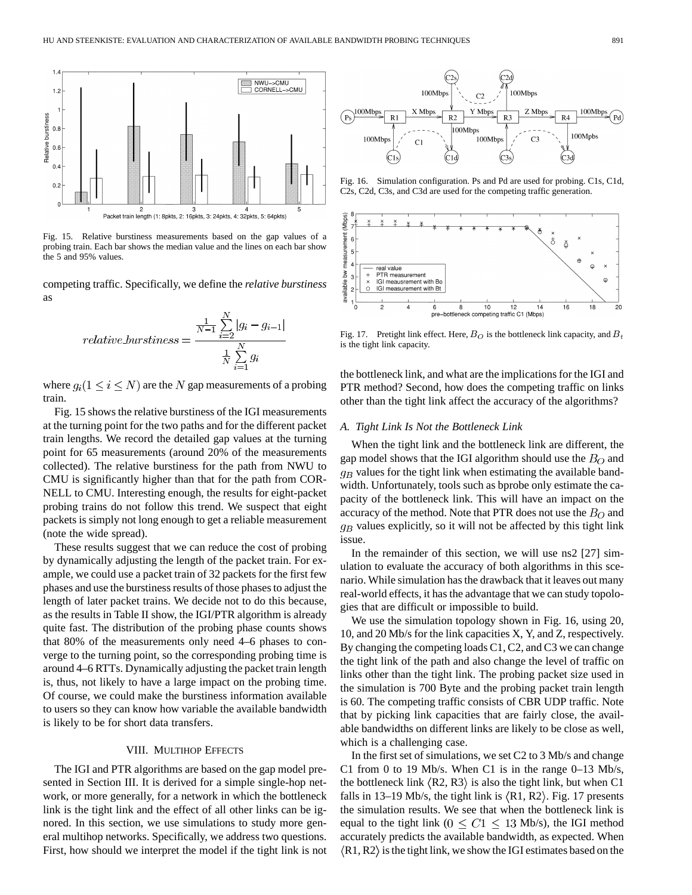![](_page_12_Figure_1.jpeg)

Fig. 15. Relative burstiness measurements based on the gap values of a probing train. Each bar shows the median value and the lines on each bar show the 5 and 95% values.

competing traffic. Specifically, we define the *relative burstiness* as

relative-burstiness = 
$$
\frac{\frac{1}{N-1} \sum_{i=2}^{N} |g_i - g_{i-1}|}{\frac{1}{N} \sum_{i=1}^{N} g_i}
$$

where  $g_i (1 \le i \le N)$  are the N gap measurements of a probing train.

Fig. 15 shows the relative burstiness of the IGI measurements at the turning point for the two paths and for the different packet train lengths. We record the detailed gap values at the turning point for 65 measurements (around 20% of the measurements collected). The relative burstiness for the path from NWU to CMU is significantly higher than that for the path from COR-NELL to CMU. Interesting enough, the results for eight-packet probing trains do not follow this trend. We suspect that eight packets is simply not long enough to get a reliable measurement (note the wide spread).

These results suggest that we can reduce the cost of probing by dynamically adjusting the length of the packet train. For example, we could use a packet train of 32 packets for the first few phases and use the burstiness results of those phases to adjust the length of later packet trains. We decide not to do this because, as the results in Table II show, the IGI/PTR algorithm is already quite fast. The distribution of the probing phase counts shows that 80% of the measurements only need 4–6 phases to converge to the turning point, so the corresponding probing time is around 4–6 RTTs. Dynamically adjusting the packet train length is, thus, not likely to have a large impact on the probing time. Of course, we could make the burstiness information available to users so they can know how variable the available bandwidth is likely to be for short data transfers.

# VIII. MULTIHOP EFFECTS

The IGI and PTR algorithms are based on the gap model presented in Section III. It is derived for a simple single-hop network, or more generally, for a network in which the bottleneck link is the tight link and the effect of all other links can be ignored. In this section, we use simulations to study more general multihop networks. Specifically, we address two questions. First, how should we interpret the model if the tight link is not

![](_page_12_Figure_10.jpeg)

Fig. 16. Simulation configuration. Ps and Pd are used for probing. C1s, C1d, C2s, C2d, C3s, and C3d are used for the competing traffic generation.

![](_page_12_Figure_12.jpeg)

Fig. 17. Pretight link effect. Here,  $B_O$  is the bottleneck link capacity, and  $B_t$ is the tight link capacity.

the bottleneck link, and what are the implications for the IGI and PTR method? Second, how does the competing traffic on links other than the tight link affect the accuracy of the algorithms?

# *A. Tight Link Is Not the Bottleneck Link*

When the tight link and the bottleneck link are different, the gap model shows that the IGI algorithm should use the  $B<sub>O</sub>$  and  $g_B$  values for the tight link when estimating the available bandwidth. Unfortunately, tools such as bprobe only estimate the capacity of the bottleneck link. This will have an impact on the accuracy of the method. Note that PTR does not use the  $B<sub>O</sub>$  and  $y_B$  values explicitly, so it will not be affected by this tight link issue.

In the remainder of this section, we will use ns2 [27] simulation to evaluate the accuracy of both algorithms in this scenario. While simulation has the drawback that it leaves out many real-world effects, it has the advantage that we can study topologies that are difficult or impossible to build.

We use the simulation topology shown in Fig. 16, using 20, 10, and 20 Mb/s for the link capacities X, Y, and Z, respectively. By changing the competing loads C1, C2, and C3 we can change the tight link of the path and also change the level of traffic on links other than the tight link. The probing packet size used in the simulation is 700 Byte and the probing packet train length is 60. The competing traffic consists of CBR UDP traffic. Note that by picking link capacities that are fairly close, the available bandwidths on different links are likely to be close as well, which is a challenging case.

In the first set of simulations, we set C2 to 3 Mb/s and change C1 from 0 to 19 Mb/s. When C1 is in the range  $0-13$  Mb/s, the bottleneck link  $\langle R2, R3 \rangle$  is also the tight link, but when C1 falls in 13–19 Mb/s, the tight link is  $\langle R1, R2 \rangle$ . Fig. 17 presents the simulation results. We see that when the bottleneck link is equal to the tight link ( $0 \le C1 \le 13$  Mb/s), the IGI method accurately predicts the available bandwidth, as expected. When  $\langle R1, R2 \rangle$  is the tight link, we show the IGI estimates based on the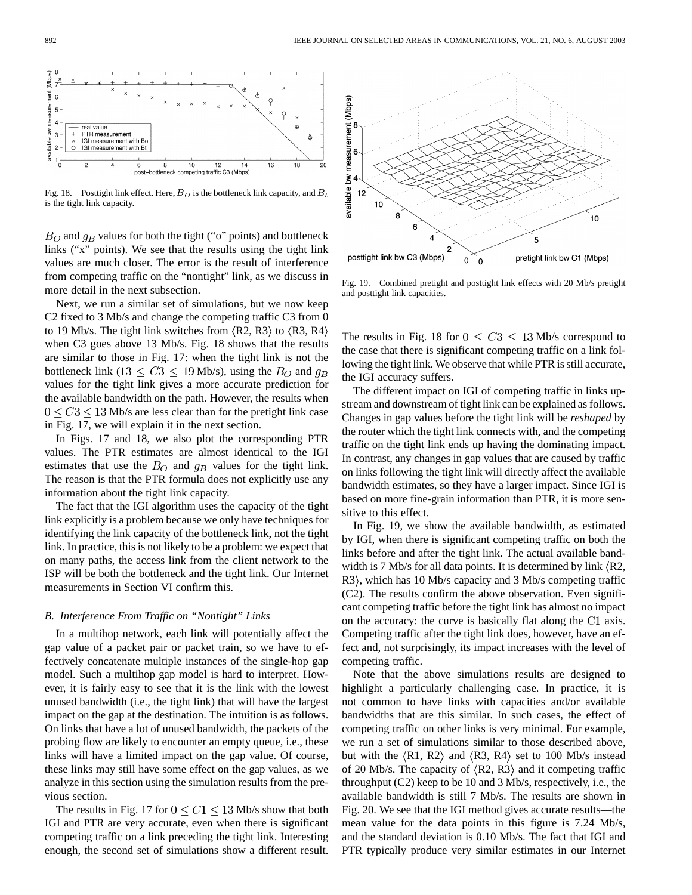![](_page_13_Figure_1.jpeg)

Fig. 18. Posttight link effect. Here,  $B_O$  is the bottleneck link capacity, and  $B_t$ is the tight link capacity.

 $B_O$  and  $g_B$  values for both the tight ("o" points) and bottleneck links ("x" points). We see that the results using the tight link values are much closer. The error is the result of interference from competing traffic on the "nontight" link, as we discuss in more detail in the next subsection.

Next, we run a similar set of simulations, but we now keep C2 fixed to 3 Mb/s and change the competing traffic C3 from 0 to 19 Mb/s. The tight link switches from  $\langle R2, R3 \rangle$  to  $\langle R3, R4 \rangle$ when C3 goes above 13 Mb/s. Fig. 18 shows that the results are similar to those in Fig. 17: when the tight link is not the bottleneck link ( $13 \leq C3 \leq 19$  Mb/s), using the  $B_O$  and  $g_B$ values for the tight link gives a more accurate prediction for the available bandwidth on the path. However, the results when  $0 < C<sub>3</sub> < 13$  Mb/s are less clear than for the pretight link case in Fig. 17, we will explain it in the next section.

In Figs. 17 and 18, we also plot the corresponding PTR values. The PTR estimates are almost identical to the IGI estimates that use the  $B_O$  and  $g_B$  values for the tight link. The reason is that the PTR formula does not explicitly use any information about the tight link capacity.

The fact that the IGI algorithm uses the capacity of the tight link explicitly is a problem because we only have techniques for identifying the link capacity of the bottleneck link, not the tight link. In practice, this is not likely to be a problem: we expect that on many paths, the access link from the client network to the ISP will be both the bottleneck and the tight link. Our Internet measurements in Section VI confirm this.

# *B. Interference From Traffic on "Nontight" Links*

In a multihop network, each link will potentially affect the gap value of a packet pair or packet train, so we have to effectively concatenate multiple instances of the single-hop gap model. Such a multihop gap model is hard to interpret. However, it is fairly easy to see that it is the link with the lowest unused bandwidth (i.e., the tight link) that will have the largest impact on the gap at the destination. The intuition is as follows. On links that have a lot of unused bandwidth, the packets of the probing flow are likely to encounter an empty queue, i.e., these links will have a limited impact on the gap value. Of course, these links may still have some effect on the gap values, as we analyze in this section using the simulation results from the previous section.

The results in Fig. 17 for  $0 \le C1 \le 13$  Mb/s show that both IGI and PTR are very accurate, even when there is significant competing traffic on a link preceding the tight link. Interesting enough, the second set of simulations show a different result.

![](_page_13_Figure_10.jpeg)

Fig. 19. Combined pretight and posttight link effects with 20 Mb/s pretight and posttight link capacities.

The results in Fig. 18 for  $0 \leq C_3 \leq 13$  Mb/s correspond to the case that there is significant competing traffic on a link following the tight link. We observe that while PTR is still accurate, the IGI accuracy suffers.

The different impact on IGI of competing traffic in links upstream and downstream of tight link can be explained as follows. Changes in gap values before the tight link will be *reshaped* by the router which the tight link connects with, and the competing traffic on the tight link ends up having the dominating impact. In contrast, any changes in gap values that are caused by traffic on links following the tight link will directly affect the available bandwidth estimates, so they have a larger impact. Since IGI is based on more fine-grain information than PTR, it is more sensitive to this effect.

In Fig. 19, we show the available bandwidth, as estimated by IGI, when there is significant competing traffic on both the links before and after the tight link. The actual available bandwidth is 7 Mb/s for all data points. It is determined by link  $(R2,$  $R3$ , which has 10 Mb/s capacity and 3 Mb/s competing traffic (C2). The results confirm the above observation. Even significant competing traffic before the tight link has almost no impact on the accuracy: the curve is basically flat along the  $C1$  axis. Competing traffic after the tight link does, however, have an effect and, not surprisingly, its impact increases with the level of competing traffic.

Note that the above simulations results are designed to highlight a particularly challenging case. In practice, it is not common to have links with capacities and/or available bandwidths that are this similar. In such cases, the effect of competing traffic on other links is very minimal. For example, we run a set of simulations similar to those described above, but with the  $\langle R1, R2 \rangle$  and  $\langle R3, R4 \rangle$  set to 100 Mb/s instead of 20 Mb/s. The capacity of  $\langle R2, R3 \rangle$  and it competing traffic throughput (C2) keep to be 10 and 3 Mb/s, respectively, i.e., the available bandwidth is still 7 Mb/s. The results are shown in Fig. 20. We see that the IGI method gives accurate results—the mean value for the data points in this figure is 7.24 Mb/s, and the standard deviation is 0.10 Mb/s. The fact that IGI and PTR typically produce very similar estimates in our Internet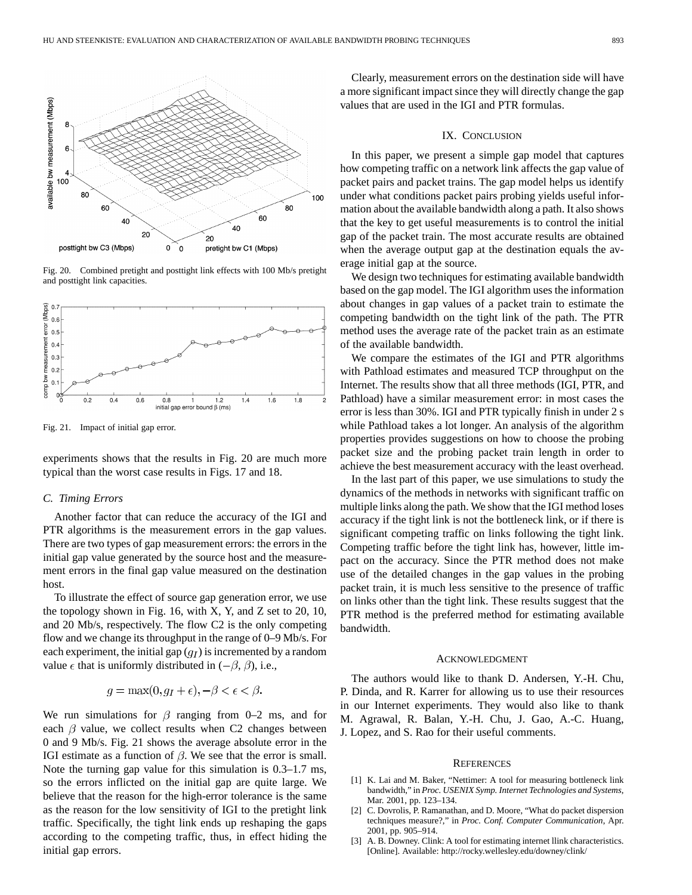![](_page_14_Figure_1.jpeg)

Fig. 20. Combined pretight and posttight link effects with 100 Mb/s pretight and posttight link capacities.

![](_page_14_Figure_3.jpeg)

Fig. 21. Impact of initial gap error.

experiments shows that the results in Fig. 20 are much more typical than the worst case results in Figs. 17 and 18.

### *C. Timing Errors*

Another factor that can reduce the accuracy of the IGI and PTR algorithms is the measurement errors in the gap values. There are two types of gap measurement errors: the errors in the initial gap value generated by the source host and the measurement errors in the final gap value measured on the destination host.

To illustrate the effect of source gap generation error, we use the topology shown in Fig. 16, with X, Y, and Z set to 20, 10, and 20 Mb/s, respectively. The flow C2 is the only competing flow and we change its throughput in the range of 0–9 Mb/s. For each experiment, the initial gap  $(q_I)$  is incremented by a random value  $\epsilon$  that is uniformly distributed in  $(-\beta, \beta)$ , i.e.,

$$
g = \max(0, g_I + \epsilon), -\beta < \epsilon < \beta.
$$

We run simulations for  $\beta$  ranging from 0–2 ms, and for each  $\beta$  value, we collect results when C2 changes between 0 and 9 Mb/s. Fig. 21 shows the average absolute error in the IGI estimate as a function of  $\beta$ . We see that the error is small. Note the turning gap value for this simulation is 0.3–1.7 ms, so the errors inflicted on the initial gap are quite large. We believe that the reason for the high-error tolerance is the same as the reason for the low sensitivity of IGI to the pretight link traffic. Specifically, the tight link ends up reshaping the gaps according to the competing traffic, thus, in effect hiding the initial gap errors.

Clearly, measurement errors on the destination side will have a more significant impact since they will directly change the gap values that are used in the IGI and PTR formulas.

## IX. CONCLUSION

In this paper, we present a simple gap model that captures how competing traffic on a network link affects the gap value of packet pairs and packet trains. The gap model helps us identify under what conditions packet pairs probing yields useful information about the available bandwidth along a path. It also shows that the key to get useful measurements is to control the initial gap of the packet train. The most accurate results are obtained when the average output gap at the destination equals the average initial gap at the source.

We design two techniques for estimating available bandwidth based on the gap model. The IGI algorithm uses the information about changes in gap values of a packet train to estimate the competing bandwidth on the tight link of the path. The PTR method uses the average rate of the packet train as an estimate of the available bandwidth.

We compare the estimates of the IGI and PTR algorithms with Pathload estimates and measured TCP throughput on the Internet. The results show that all three methods (IGI, PTR, and Pathload) have a similar measurement error: in most cases the error is less than 30%. IGI and PTR typically finish in under 2 s while Pathload takes a lot longer. An analysis of the algorithm properties provides suggestions on how to choose the probing packet size and the probing packet train length in order to achieve the best measurement accuracy with the least overhead.

In the last part of this paper, we use simulations to study the dynamics of the methods in networks with significant traffic on multiple links along the path. We show that the IGI method loses accuracy if the tight link is not the bottleneck link, or if there is significant competing traffic on links following the tight link. Competing traffic before the tight link has, however, little impact on the accuracy. Since the PTR method does not make use of the detailed changes in the gap values in the probing packet train, it is much less sensitive to the presence of traffic on links other than the tight link. These results suggest that the PTR method is the preferred method for estimating available bandwidth.

# ACKNOWLEDGMENT

The authors would like to thank D. Andersen, Y.-H. Chu, P. Dinda, and R. Karrer for allowing us to use their resources in our Internet experiments. They would also like to thank M. Agrawal, R. Balan, Y.-H. Chu, J. Gao, A.-C. Huang, J. Lopez, and S. Rao for their useful comments.

#### **REFERENCES**

- [1] K. Lai and M. Baker, "Nettimer: A tool for measuring bottleneck link bandwidth," in *Proc. USENIX Symp. Internet Technologies and Systems*, Mar. 2001, pp. 123–134.
- [2] C. Dovrolis, P. Ramanathan, and D. Moore, "What do packet dispersion techniques measure?," in *Proc. Conf. Computer Communication*, Apr. 2001, pp. 905–914.
- [3] A. B. Downey. Clink: A tool for estimating internet llink characteristics. [Online]. Available: http://rocky.wellesley.edu/downey/clink/